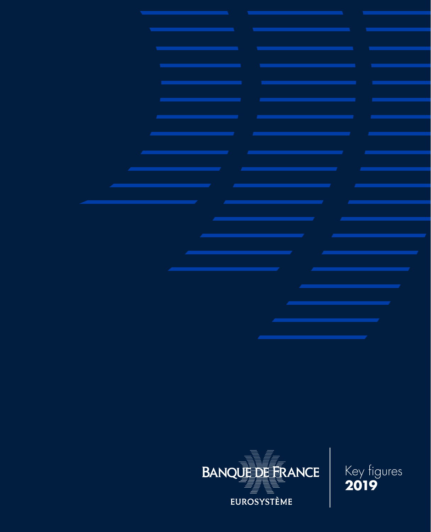

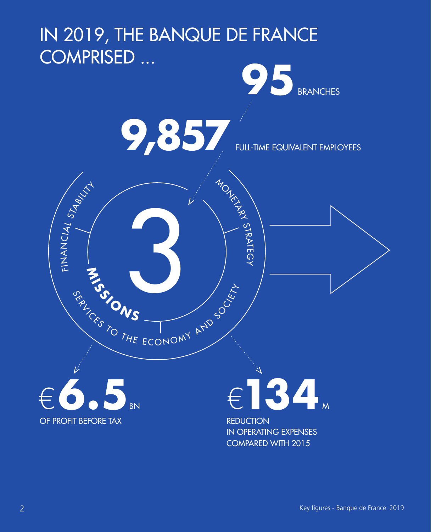### IN 2019, THE BANQUE DE FRANCE COMPRISED ...





MONEY A

**STRATEGY** 

**MISSI O N** 3 **S**

SE TO THE ECONOMY AND SO LET

FULL-TIME EQUIVALENT EMPLOYEES

€**6.5** OF PROFIT BEFORE TAX

سلا Z<br>K<br>Z<br>Z

CIAL

STABILITY

# €**134** <sup>M</sup>

**REDUCTION** IN OPERATING EXPENSES COMPARED WITH 2015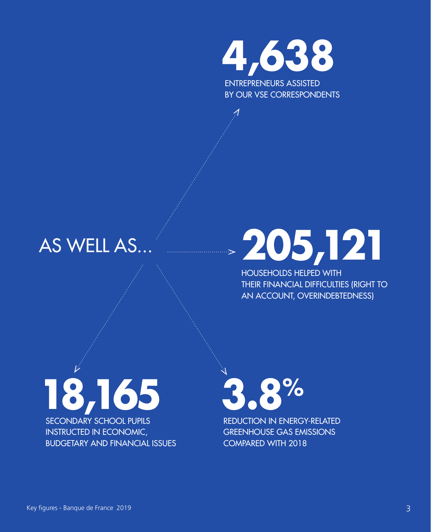**4,638** ENTREPRENEURS ASSISTED

BY OUR VSE CORRESPONDENTS

### **AS WELL AS.**

# **205,121**

HOUSEHOLDS HELPED WITH THEIR FINANCIAL DIFFICULTIES (RIGHT TO AN ACCOUNT, OVERINDEBTEDNESS)

**18,165** SECONDARY SCHOOL PUPILS INSTRUCTED IN ECONOMIC, BUDGETARY AND FINANCIAL ISSUES **3.8%** REDUCTION IN ENERGY-RELATED

GREENHOUSE GAS EMISSIONS COMPARED WITH 2018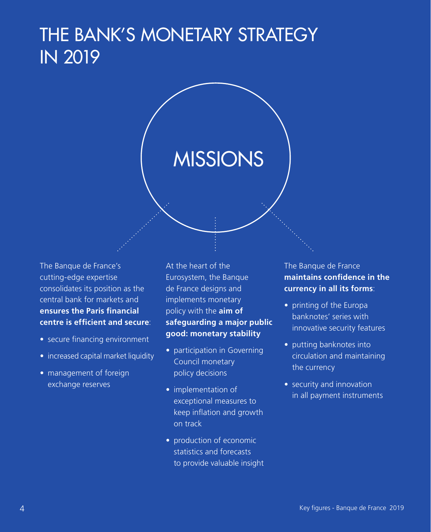### THE BANK'S MONETARY STRATEGY IN 2019

### **MISSIONS**

The Banque de France's cutting-edge expertise consolidates its position as the central bank for markets and **ensures the Paris financial centre is efficient and secure**:

- secure financing environment
- increased capital market liquidity
- management of foreign exchange reserves

At the heart of the Eurosystem, the Banque de France designs and implements monetary policy with the **aim of safeguarding a major public good: monetary stability**

- participation in Governing Council monetary policy decisions
- implementation of exceptional measures to keep inflation and growth on track
- production of economic statistics and forecasts to provide valuable insight

The Banque de France **maintains confidence in the currency in all its forms**:

- printing of the Europa banknotes' series with innovative security features
- putting banknotes into circulation and maintaining the currency
- security and innovation in all payment instruments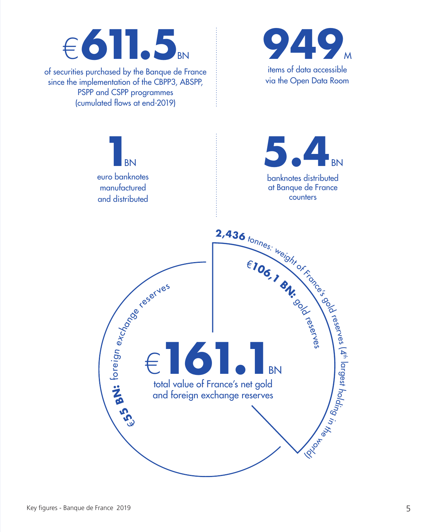## €**611.5**

of securities purchased by the Banque de France since the implementation of the CBPP3, ABSPP, PSPP and CSPP programmes (cumulated flows at end-2019)



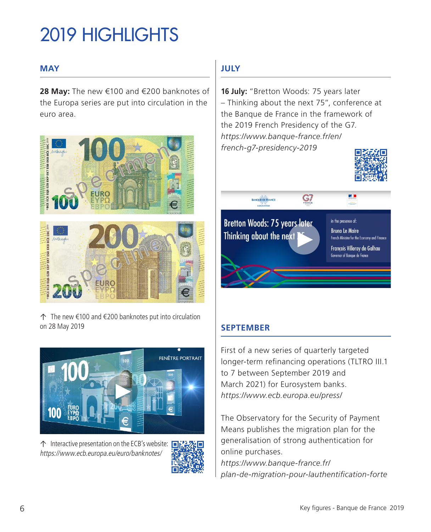## 2019 HIGHLIGHTS

#### **MAY**

**28 May:** The new €100 and €200 banknotes of the Europa series are put into circulation in the euro area.



↑ The new €100 and €200 banknotes put into circulation on 28 May 2019



↑ Interactive presentation on the ECB's website: [https://www.ecb.europa.eu/euro/banknotes/](https://www.ecb.europa.eu/euro/banknotes/denominations/html/index.fr.html#es2-100)



### **JULY**

**16 July:** "Bretton Woods: 75 years later – Thinking about the next 75", conference at the Banque de France in the framework of the 2019 French Presidency of the G7. *[https://www.banque-france.fr/en/](https://www.banque-france.fr/en/french-g7-presidency-2019-bretton-woods-75-years-later-thinking-about-next-75) [french-g7-presidency-2019](https://www.banque-france.fr/en/french-g7-presidency-2019-bretton-woods-75-years-later-thinking-about-next-75)*





#### **SEPTEMBER**

First of a new series of quarterly targeted longer-term refinancing operations (TLTRO III.1 to 7 between September 2019 and March 2021) for Eurosystem banks. *[https://www.ecb.europa.eu/press/](https://www.ecb.europa.eu/press/pr/date/2019/html/ecb.mp190912~08de50b4d2.en.html)*

The Observatory for the Security of Payment Means publishes the migration plan for the generalisation of strong authentication for online purchases. *[https://www.banque-france.fr/](https://www.banque-france.fr/plan-de-migration-pour-lauthentification-forte-dans-le-cadre-de-la-dsp2) [plan-de-migration-pour-lauthentification-forte](https://www.banque-france.fr/plan-de-migration-pour-lauthentification-forte-dans-le-cadre-de-la-dsp2)*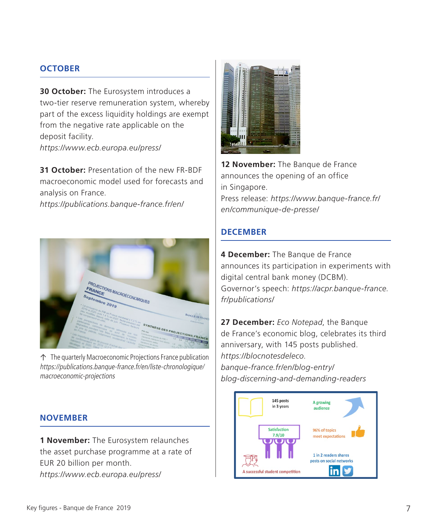#### **OCTOBER**

**30 October:** The Eurosystem introduces a two-tier reserve remuneration system, whereby part of the excess liquidity holdings are exempt from the negative rate applicable on the deposit facility. *[https://www.ecb.europa.eu/press/](https://www.ecb.europa.eu/press/pr/date/2019/html/ecb.mp190912~08de50b4d2.en.html)*

**31 October:** Presentation of the new FR-BDF macroeconomic model used for forecasts and analysis on France.

*[https://publications.banque-france.fr/](https://publications.banque-france.fr/en/fr-bdf-model-and-assessment-monetary-policy-transmission-france)en/*



↑ The quarterly Macroeconomic Projections France publication [https://publications.banque-france.fr/en/liste-chronologique/](https://publications.banque-france.fr/en/liste-chronologique/macroeconomic-projections) [macroeconomic-projections](https://publications.banque-france.fr/en/liste-chronologique/macroeconomic-projections)

### **NOVEMBER**

**1 November:** The Eurosystem relaunches the asset purchase programme at a rate of EUR 20 billion per month. *[https://www.ecb.europa.eu/press/](https://www.ecb.europa.eu/press/pr/date/2019/html/ecb.mp190912~08de50b4d2.en.html)*



12 **November:** The Banque de France announces the opening of an office in Singapore. Press release: *[https://www.banque-france.fr/](https://www.banque-france.fr/en/communique-de-presse/banque-de-france-and-monetary-authority-singapore-strengthen-financial-cooperation) [en/communique-de-presse/](https://www.banque-france.fr/en/communique-de-presse/banque-de-france-and-monetary-authority-singapore-strengthen-financial-cooperation)*

#### **DECEMBER**

**4 December:** The Banque de France announces its participation in experiments with digital central bank money (DCBM). Governor's speech: *[https://acpr.banque-france.](https://acpr.banque-france.fr/sites/default/files/media/2019/12/05/20191204_discours_villeroy_de_galhau_fr.pdf) [fr/publications/](https://acpr.banque-france.fr/sites/default/files/media/2019/12/05/20191204_discours_villeroy_de_galhau_fr.pdf)*

**27 December:** *Eco Notepad*, the Banque de France's economic blog, celebrates its third anniversary, with 145 posts published. *[https://blocnotesdeleco.](https://blocnotesdeleco.banque-france.fr/en/blog-entry/blog-discerning-and-demanding-readers) [banque-france.fr/en/blog-entry/](https://blocnotesdeleco.banque-france.fr/en/blog-entry/blog-discerning-and-demanding-readers) [blog-discerning-and-demanding-readers](https://blocnotesdeleco.banque-france.fr/en/blog-entry/blog-discerning-and-demanding-readers)*

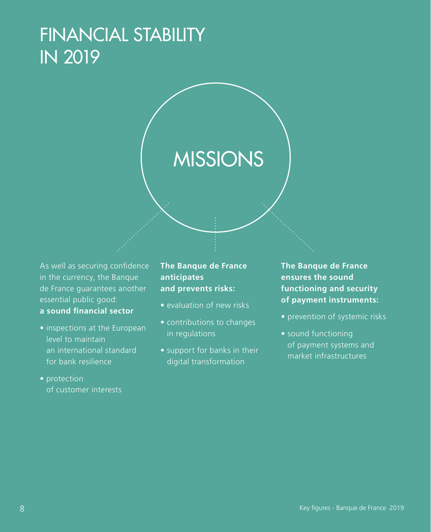### FINANCIAL STABILITY IN 2019

## **MISSIONS**

As well as securing confidence in the currency, the Banque de France guarantees another essential public good: **a sound financial sector**

- inspections at the European level to maintain an international standard for bank resilience
- protection of customer interests

**The Banque de France anticipates and prevents risks:**

- evaluation of new risks
- contributions to changes in regulations
- support for banks in their digital transformation

**The Banque de France ensures the sound functioning and security of payment instruments:**

- prevention of systemic risks
- sound functioning of payment systems and market infrastructures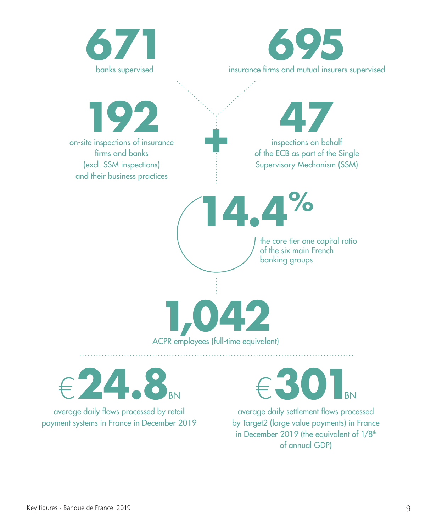



average daily flows processed by retail payment systems in France in December 2019  $301$ BN

average daily settlement flows processed by Target2 (large value payments) in France in December 2019 (the equivalent of  $1/8<sup>th</sup>$ of annual GDP)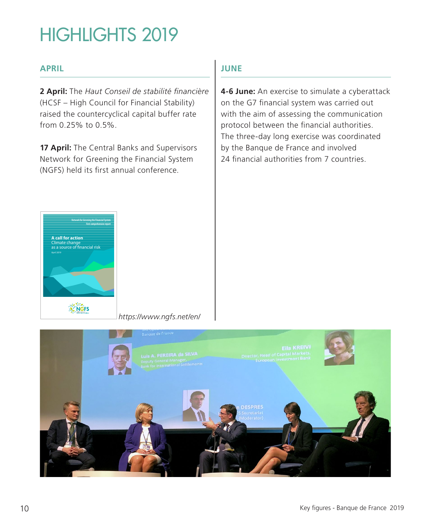### HIGHLIGHTS 2019

#### **APRIL**

**2 April:** The *Haut Conseil de stabilité financière* (HCSF – High Council for Financial Stability) raised the countercyclical capital buffer rate from 0.25% to 0.5%.

**17 April:** The Central Banks and Supervisors Network for Greening the Financial System (NGFS) held its first annual conference.

#### **JUNE**

**4‑6 June:** An exercise to simulate a cyberattack on the G7 financial system was carried out with the aim of assessing the communication protocol between the financial authorities. The three-day long exercise was coordinated by the Banque de France and involved 24 financial authorities from 7 countries

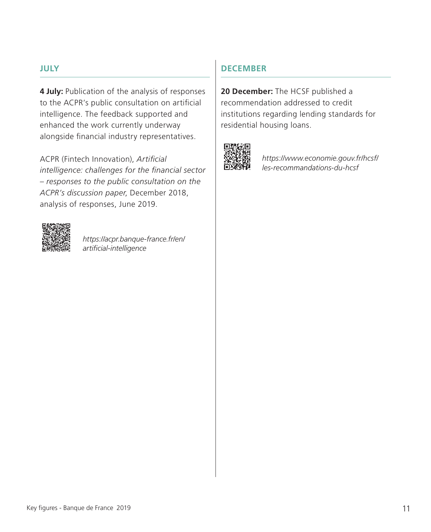#### **JULY**

**4 July:** Publication of the analysis of responses to the ACPR's public consultation on artificial intelligence. The feedback supported and enhanced the work currently underway alongside financial industry representatives.

ACPR (Fintech Innovation), *Artificial intelligence: challenges for the financial sector – responses to the public consultation on the ACPR's discussion paper*, December 2018, analysis of responses, June 2019.



*[https://acpr.banque-france.fr/en/](https://acpr.banque-france.fr/en/artificial-intelligence-challenges-financial-sector-responses-public-consultation-acprs-december) [artificial-intelligence](https://acpr.banque-france.fr/en/artificial-intelligence-challenges-financial-sector-responses-public-consultation-acprs-december)*

#### **DECEMBER**

**20 December:** The HCSF published a recommendation addressed to credit institutions regarding lending standards for residential housing loans.



*[https://www.economie.gouv.fr/hcsf/](https://www.economie.gouv.fr/hcsf/les-recommandations-du-hcsf) [les-recommandations-du-hcsf](https://www.economie.gouv.fr/hcsf/les-recommandations-du-hcsf)*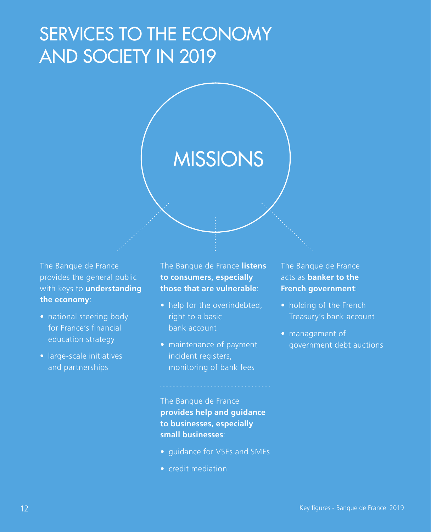### SERVICES TO THE ECONOMY AND SOCIETY IN 2019

### MISSIONS

The Banque de France provides the general public with keys to **understanding the economy**:

- national steering body for France's financial education strategy
- large-scale initiatives and partnerships

The Banque de France **listens to consumers, especially those that are vulnerable**:

- help for the overindebted, right to a basic bank account
- maintenance of payment incident registers, monitoring of bank fees

The Banque de France acts as **banker to the French government**:

- holding of the French Treasury's bank account
- management of government debt auctions

The Banque de France **provides help and guidance to businesses, especially small businesses**:

- guidance for VSEs and SMEs
- credit mediation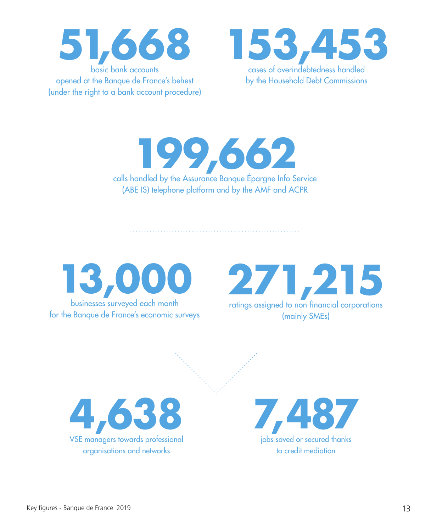



calls handled by the Assurance Banque Épargne Info Service **199,662** (ABE IS) telephone platform and by the AMF and ACPR



271,215 (mainly SMEs)



**7,487** jobs saved or secured thanks to credit mediation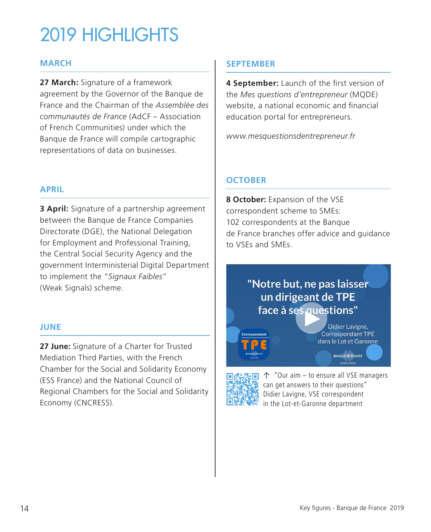### 2019 HIGHLIGHTS

#### **MARCH**

**27 March:** Signature of a framework agreement by the Governor of the Banque de France and the Chairman of the *Assemblée des communautés de France* (AdCF – Association of French Communities) under which the Banque de France will compile cartographic representations of data on businesses.

#### **APRIL**

**3 April:** Signature of a partnership agreement between the Banque de France Companies Directorate (DGE), the National Delegation for Employment and Professional Training, the Central Social Security Agency and the government Interministerial Digital Department to implement the "*Signaux Faibles*" (Weak Signals) scheme.

#### **JUNE**

**27 June:** Signature of a Charter for Trusted Mediation Third Parties, with the French Chamber for the Social and Solidarity Economy (ESS France) and the National Council of Regional Chambers for the Social and Solidarity Economy (CNCRESS).

#### **SEPTEMBER**

**4 September:** Launch of the first version of the *Mes questions d'entrepreneur* (MQDE) website, a national economic and financial education portal for entrepreneurs.

*[www.mesquestionsdentrepreneur.fr](http://www.mesquestionsdentrepreneur.fr/)*

#### **OCTOBER**

**8 October:** Expansion of the VSE correspondent scheme to SMEs: 102 correspondents at the Banque de France branches offer advice and guidance to VSEs and SMEs.

### "Notre but, ne pas laisser un dirigeant de TPE face à ses questions"

Didier Lavigne, Correspondant TPE dans le Lot et Garonne

**BANQUE DE FRANCE** 



↑ "Our aim – to ensure all VSE managers can get answers to their questions" Didier Lavigne, VSE correspondent in the Lot-et-Garonne department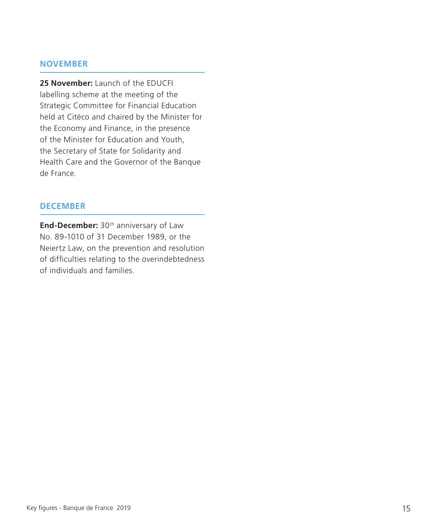#### **NOVEMBER**

**25 November:** Launch of the EDUCFI labelling scheme at the meeting of the Strategic Committee for Financial Education held at Citéco and chaired by the Minister for the Economy and Finance, in the presence of the Minister for Education and Youth, the Secretary of State for Solidarity and Health Care and the Governor of the Banque de France.

#### **DECEMBER**

**End-December:** 30<sup>th</sup> anniversary of Law No. 89-1010 of 31 December 1989, or the Neiertz Law, on the prevention and resolution of difficulties relating to the overindebtedness of individuals and families.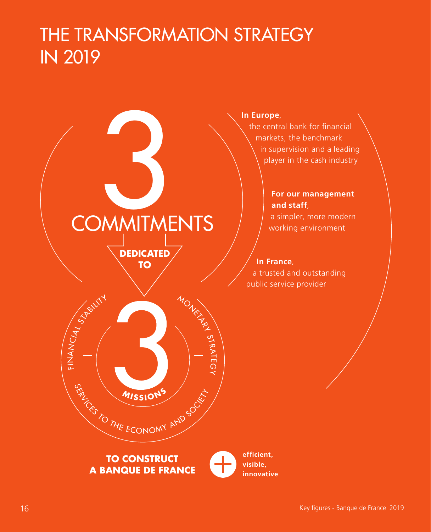### THE TRANSFORMATION STRATEGY IN 2019



#### **In Europe**,

the central bank for financial markets, the benchmark in supervision and a leading player in the cash industry

#### **For our management and staff**,

a simpler, more modern working environment

**In France**, a trusted and outstanding public service provider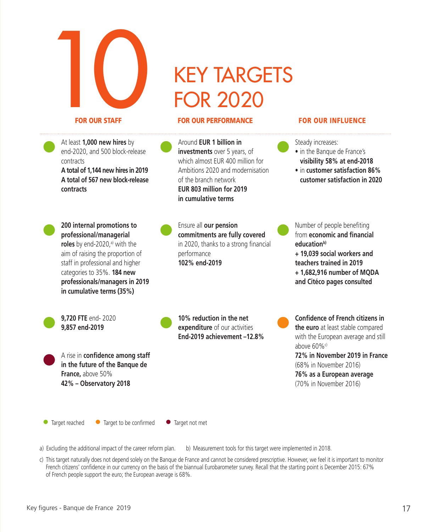

#### FOR OUR STAFF FOR OUR PERFORMANCE FOR OUR INFLUENCE

At least **1,000 new hires** by end-2020, and 500 block-release contracts

**A total of 1,144 new hires in 2019 A total of 567 new block‑release contracts**

**200 internal promotions to professional/managerial roles** by end-2020,<sup>a)</sup> with the aim of raising the proportion of staff in professional and higher categories to 35%. **184 new professionals/managers in 2019 in cumulative terms (35%)**

**9,720 FTE** end- 2020 **9,857 end‑2019**

**France,** above 50% **42% – Observatory 2018** Around **EUR 1 billion in investments** over 5 years, of which almost EUR 400 million for Ambitions 2020 and modernisation of the branch network **EUR 803 million for 2019 in cumulative terms**

Ensure all **our pension commitments are fully covered**  in 2020, thanks to a strong financial performance **102% end-2019**

from **economic and financial**  education<sup>b)</sup> **+ 19,039 social workers and teachers trained in 2019 + 1,682,916 number of MQDA and Citéco pages consulted**

Number of people benefiting

Steady increases: • in the Banque de France's **visibility 58% at end‑2018** • in **customer satisfaction 86% customer satisfaction in 2020**

**10% reduction in the net expenditure** of our activities **End‑2019 achievement –12.8%** **Confidence of French citizens in the euro** at least stable compared with the European average and still above 60%c) **72% in November 2019 in France** (68% in November 2016) **76% as a European average**

(70% in November 2016)

● Target reached ● Target to be confirmed ● Target not met

A rise in **confidence among staff in the future of the Banque de** 

a) Excluding the additional impact of the career reform plan. b) Measurement tools for this target were implemented in 2018.

c) This target naturally does not depend solely on the Banque de France and cannot be considered prescriptive. However, we feel it is important to monitor French citizens' confidence in our currency on the basis of the biannual Eurobarometer survey. Recall that the starting point is December 2015: 67% of French people support the euro; the European average is 68%.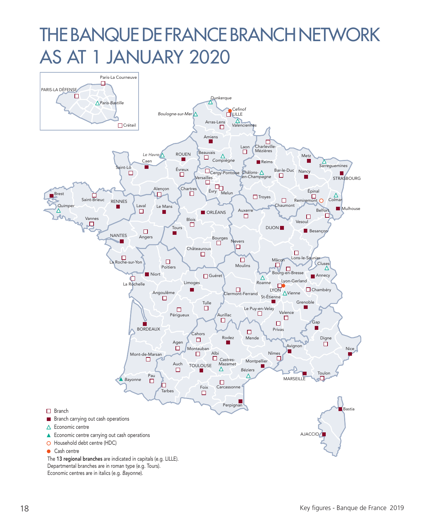### THE BANQUE DE FRANCE BRANCH NETWORK AS AT 1 JANUARY 2020